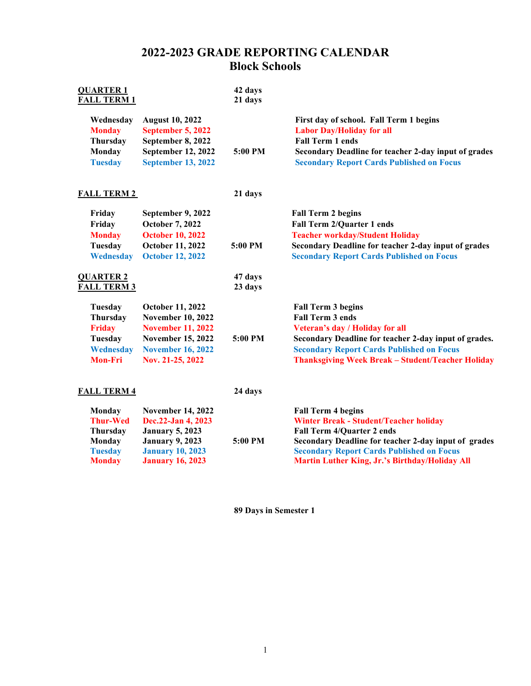## **2022-2023 GRADE REPORTING CALENDAR Block Schools**

| <b>QUARTER 1</b><br><b>FALL TERM 1</b> |                           | 42 days<br>21 days |                                                          |
|----------------------------------------|---------------------------|--------------------|----------------------------------------------------------|
| Wednesday                              | <b>August 10, 2022</b>    | 5:00 PM            | First day of school. Fall Term 1 begins                  |
| <b>Monday</b>                          | September 5, 2022         |                    | <b>Labor Day/Holiday for all</b>                         |
| <b>Thursday</b>                        | September 8, 2022         |                    | <b>Fall Term 1 ends</b>                                  |
| Monday                                 | September 12, 2022        |                    | Secondary Deadline for teacher 2-day input of grades     |
| <b>Tuesday</b>                         | <b>September 13, 2022</b> |                    | <b>Secondary Report Cards Published on Focus</b>         |
| <b>FALL TERM 2</b>                     |                           | 21 days            |                                                          |
| Friday                                 | September 9, 2022         | 5:00 PM            | <b>Fall Term 2 begins</b>                                |
| Friday                                 | <b>October 7, 2022</b>    |                    | <b>Fall Term 2/Quarter 1 ends</b>                        |
| <b>Monday</b>                          | <b>October 10, 2022</b>   |                    | <b>Teacher workday/Student Holiday</b>                   |
| Tuesday                                | October 11, 2022          |                    | Secondary Deadline for teacher 2-day input of grades     |
| Wednesday                              | <b>October 12, 2022</b>   |                    | <b>Secondary Report Cards Published on Focus</b>         |
| <b>QUARTER 2</b><br><b>FALL TERM 3</b> |                           | 47 days<br>23 days |                                                          |
| <b>Tuesday</b>                         | <b>October 11, 2022</b>   | 5:00 PM            | <b>Fall Term 3 begins</b>                                |
| <b>Thursday</b>                        | <b>November 10, 2022</b>  |                    | <b>Fall Term 3 ends</b>                                  |
| <b>Friday</b>                          | <b>November 11, 2022</b>  |                    | Veteran's day / Holiday for all                          |
| Tuesday                                | <b>November 15, 2022</b>  |                    | Secondary Deadline for teacher 2-day input of grades.    |
| <b>Wednesday</b>                       | <b>November 16, 2022</b>  |                    | <b>Secondary Report Cards Published on Focus</b>         |
| <b>Mon-Fri</b>                         | Nov. 21-25, 2022          |                    | <b>Thanksgiving Week Break - Student/Teacher Holiday</b> |
| <b>FALL TERM 4</b>                     |                           | 24 days            |                                                          |
| Monday                                 | <b>November 14, 2022</b>  | $5:00$ PM          | <b>Fall Term 4 begins</b>                                |
| <b>Thur-Wed</b>                        | Dec.22-Jan 4, 2023        |                    | <b>Winter Break - Student/Teacher holiday</b>            |
| Thursday                               | <b>January 5, 2023</b>    |                    | <b>Fall Term 4/Quarter 2 ends</b>                        |
| Monday                                 | <b>January 9, 2023</b>    |                    | Secondary Deadline for teacher 2-day input of grades     |
| <b>Tuesday</b>                         | <b>January 10, 2023</b>   |                    | <b>Secondary Report Cards Published on Focus</b>         |
| <b>Monday</b>                          | <b>January 16, 2023</b>   |                    | Martin Luther King, Jr.'s Birthday/Holiday All           |

**89 Days in Semester 1**